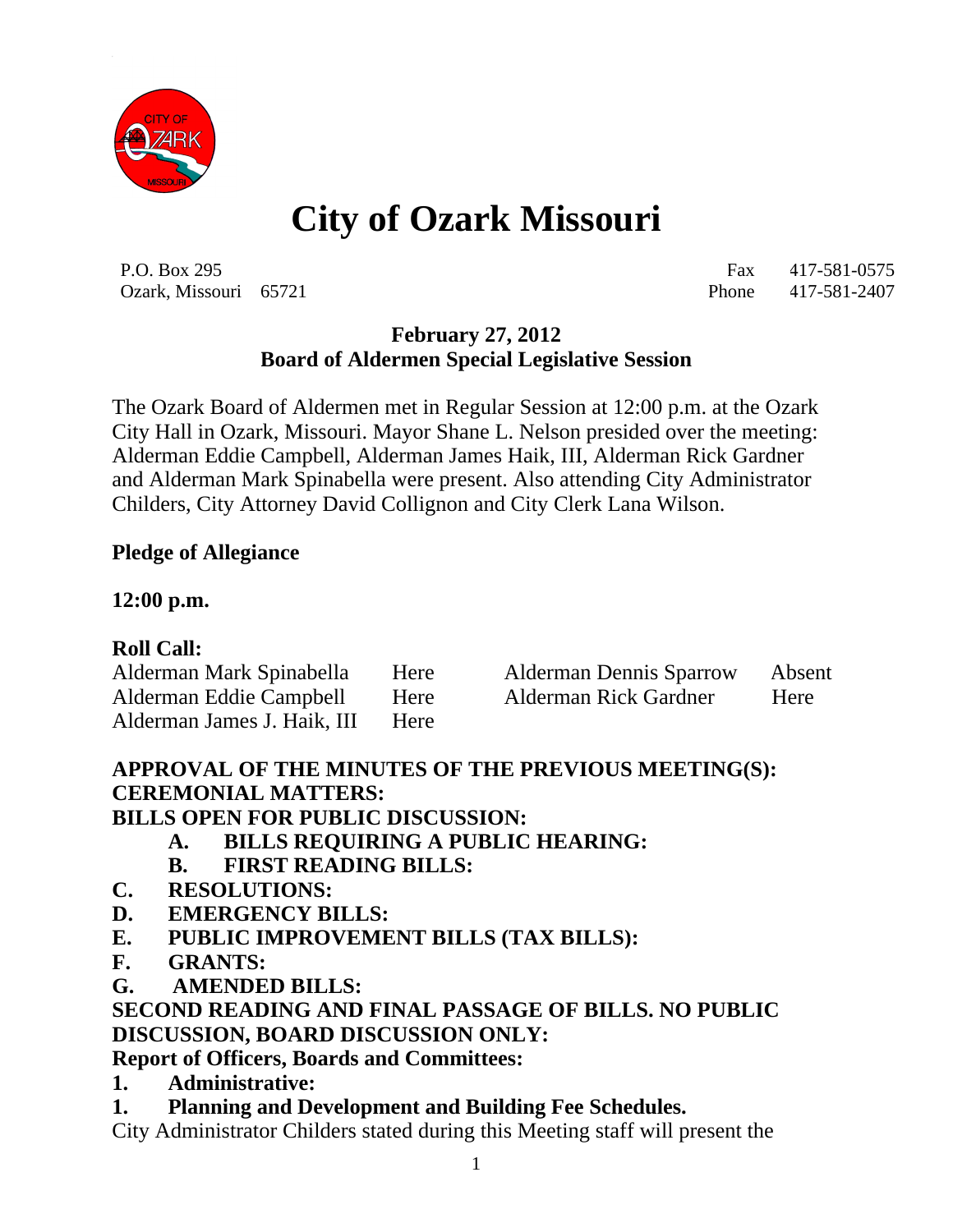

# **City of Ozark Missouri**

P.O. Box 295 Fax 417-581-0575 Ozark, Missouri 65721 Phone 417-581-2407

#### **February 27, 2012 Board of Aldermen Special Legislative Session**

The Ozark Board of Aldermen met in Regular Session at 12:00 p.m. at the Ozark City Hall in Ozark, Missouri. Mayor Shane L. Nelson presided over the meeting: Alderman Eddie Campbell, Alderman James Haik, III, Alderman Rick Gardner and Alderman Mark Spinabella were present. Also attending City Administrator Childers, City Attorney David Collignon and City Clerk Lana Wilson.

#### **Pledge of Allegiance**

#### **12:00 p.m.**

#### **Roll Call:**

| Alderman Mark Spinabella    | Here | <b>Alderman Dennis Sparrow</b> | Absent |
|-----------------------------|------|--------------------------------|--------|
| Alderman Eddie Campbell     | Here | Alderman Rick Gardner          | Here   |
| Alderman James J. Haik, III | Here |                                |        |

## **APPROVAL OF THE MINUTES OF THE PREVIOUS MEETING(S): CEREMONIAL MATTERS:**

**BILLS OPEN FOR PUBLIC DISCUSSION:**

- **A. BILLS REQUIRING A PUBLIC HEARING:**
- **B. FIRST READING BILLS:**
- **C. RESOLUTIONS:**
- **D. EMERGENCY BILLS:**
- **E. PUBLIC IMPROVEMENT BILLS (TAX BILLS):**
- **F. GRANTS:**
- **G. AMENDED BILLS:**

#### **SECOND READING AND FINAL PASSAGE OF BILLS. NO PUBLIC DISCUSSION, BOARD DISCUSSION ONLY:**

#### **Report of Officers, Boards and Committees:**

- **1. Administrative:**
- **1. Planning and Development and Building Fee Schedules.**

City Administrator Childers stated during this Meeting staff will present the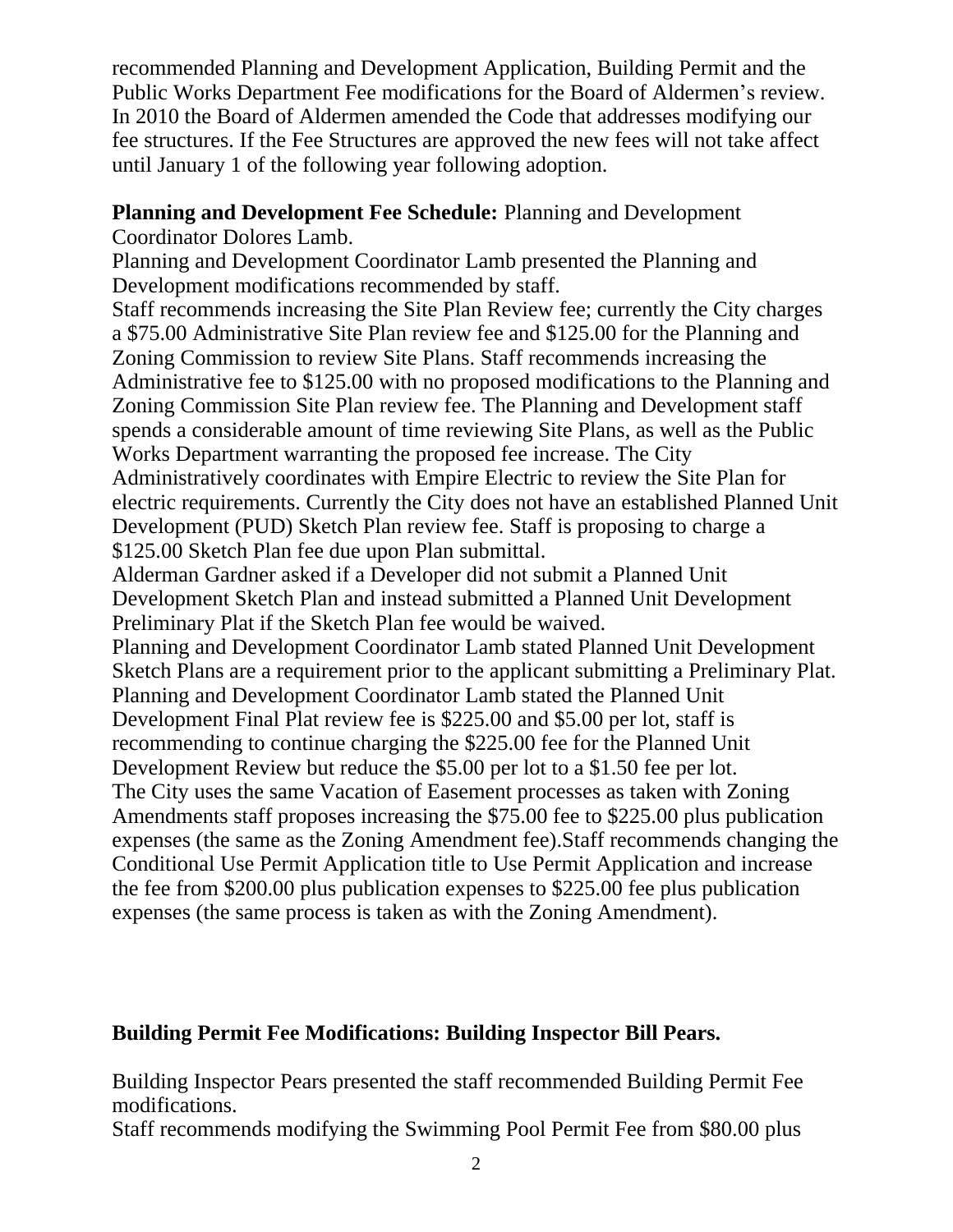recommended Planning and Development Application, Building Permit and the Public Works Department Fee modifications for the Board of Aldermen's review. In 2010 the Board of Aldermen amended the Code that addresses modifying our fee structures. If the Fee Structures are approved the new fees will not take affect until January 1 of the following year following adoption.

## **Planning and Development Fee Schedule:** Planning and Development

Coordinator Dolores Lamb.

Planning and Development Coordinator Lamb presented the Planning and Development modifications recommended by staff.

Staff recommends increasing the Site Plan Review fee; currently the City charges a \$75.00 Administrative Site Plan review fee and \$125.00 for the Planning and Zoning Commission to review Site Plans. Staff recommends increasing the Administrative fee to \$125.00 with no proposed modifications to the Planning and Zoning Commission Site Plan review fee. The Planning and Development staff spends a considerable amount of time reviewing Site Plans, as well as the Public Works Department warranting the proposed fee increase. The City Administratively coordinates with Empire Electric to review the Site Plan for electric requirements. Currently the City does not have an established Planned Unit Development (PUD) Sketch Plan review fee. Staff is proposing to charge a \$125.00 Sketch Plan fee due upon Plan submittal.

Alderman Gardner asked if a Developer did not submit a Planned Unit Development Sketch Plan and instead submitted a Planned Unit Development Preliminary Plat if the Sketch Plan fee would be waived.

Planning and Development Coordinator Lamb stated Planned Unit Development Sketch Plans are a requirement prior to the applicant submitting a Preliminary Plat. Planning and Development Coordinator Lamb stated the Planned Unit Development Final Plat review fee is \$225.00 and \$5.00 per lot, staff is recommending to continue charging the \$225.00 fee for the Planned Unit Development Review but reduce the \$5.00 per lot to a \$1.50 fee per lot. The City uses the same Vacation of Easement processes as taken with Zoning Amendments staff proposes increasing the \$75.00 fee to \$225.00 plus publication expenses (the same as the Zoning Amendment fee).Staff recommends changing the Conditional Use Permit Application title to Use Permit Application and increase the fee from \$200.00 plus publication expenses to \$225.00 fee plus publication expenses (the same process is taken as with the Zoning Amendment).

# **Building Permit Fee Modifications: Building Inspector Bill Pears.**

Building Inspector Pears presented the staff recommended Building Permit Fee modifications.

Staff recommends modifying the Swimming Pool Permit Fee from \$80.00 plus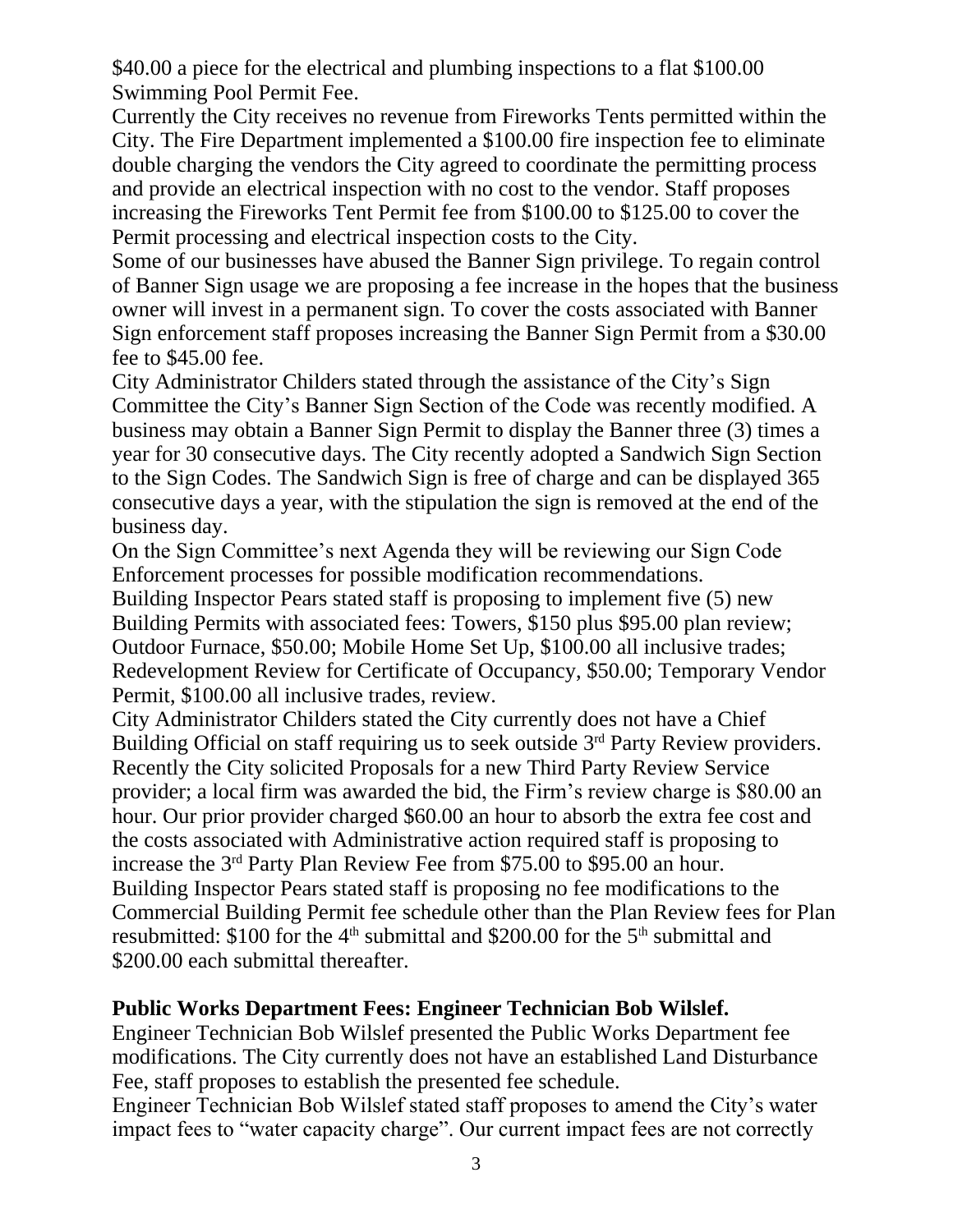\$40.00 a piece for the electrical and plumbing inspections to a flat \$100.00 Swimming Pool Permit Fee.

Currently the City receives no revenue from Fireworks Tents permitted within the City. The Fire Department implemented a \$100.00 fire inspection fee to eliminate double charging the vendors the City agreed to coordinate the permitting process and provide an electrical inspection with no cost to the vendor. Staff proposes increasing the Fireworks Tent Permit fee from \$100.00 to \$125.00 to cover the Permit processing and electrical inspection costs to the City.

Some of our businesses have abused the Banner Sign privilege. To regain control of Banner Sign usage we are proposing a fee increase in the hopes that the business owner will invest in a permanent sign. To cover the costs associated with Banner Sign enforcement staff proposes increasing the Banner Sign Permit from a \$30.00 fee to \$45.00 fee.

City Administrator Childers stated through the assistance of the City's Sign Committee the City's Banner Sign Section of the Code was recently modified. A business may obtain a Banner Sign Permit to display the Banner three (3) times a year for 30 consecutive days. The City recently adopted a Sandwich Sign Section to the Sign Codes. The Sandwich Sign is free of charge and can be displayed 365 consecutive days a year, with the stipulation the sign is removed at the end of the business day.

On the Sign Committee's next Agenda they will be reviewing our Sign Code Enforcement processes for possible modification recommendations.

Building Inspector Pears stated staff is proposing to implement five (5) new Building Permits with associated fees: Towers, \$150 plus \$95.00 plan review; Outdoor Furnace, \$50.00; Mobile Home Set Up, \$100.00 all inclusive trades; Redevelopment Review for Certificate of Occupancy, \$50.00; Temporary Vendor Permit, \$100.00 all inclusive trades, review.

City Administrator Childers stated the City currently does not have a Chief Building Official on staff requiring us to seek outside  $3<sup>rd</sup>$  Party Review providers. Recently the City solicited Proposals for a new Third Party Review Service provider; a local firm was awarded the bid, the Firm's review charge is \$80.00 an hour. Our prior provider charged \$60.00 an hour to absorb the extra fee cost and the costs associated with Administrative action required staff is proposing to increase the 3rd Party Plan Review Fee from \$75.00 to \$95.00 an hour. Building Inspector Pears stated staff is proposing no fee modifications to the Commercial Building Permit fee schedule other than the Plan Review fees for Plan resubmitted: \$100 for the  $4<sup>th</sup>$  submittal and \$200.00 for the  $5<sup>th</sup>$  submittal and \$200.00 each submittal thereafter.

#### **Public Works Department Fees: Engineer Technician Bob Wilslef.**

Engineer Technician Bob Wilslef presented the Public Works Department fee modifications. The City currently does not have an established Land Disturbance Fee, staff proposes to establish the presented fee schedule.

Engineer Technician Bob Wilslef stated staff proposes to amend the City's water impact fees to "water capacity charge". Our current impact fees are not correctly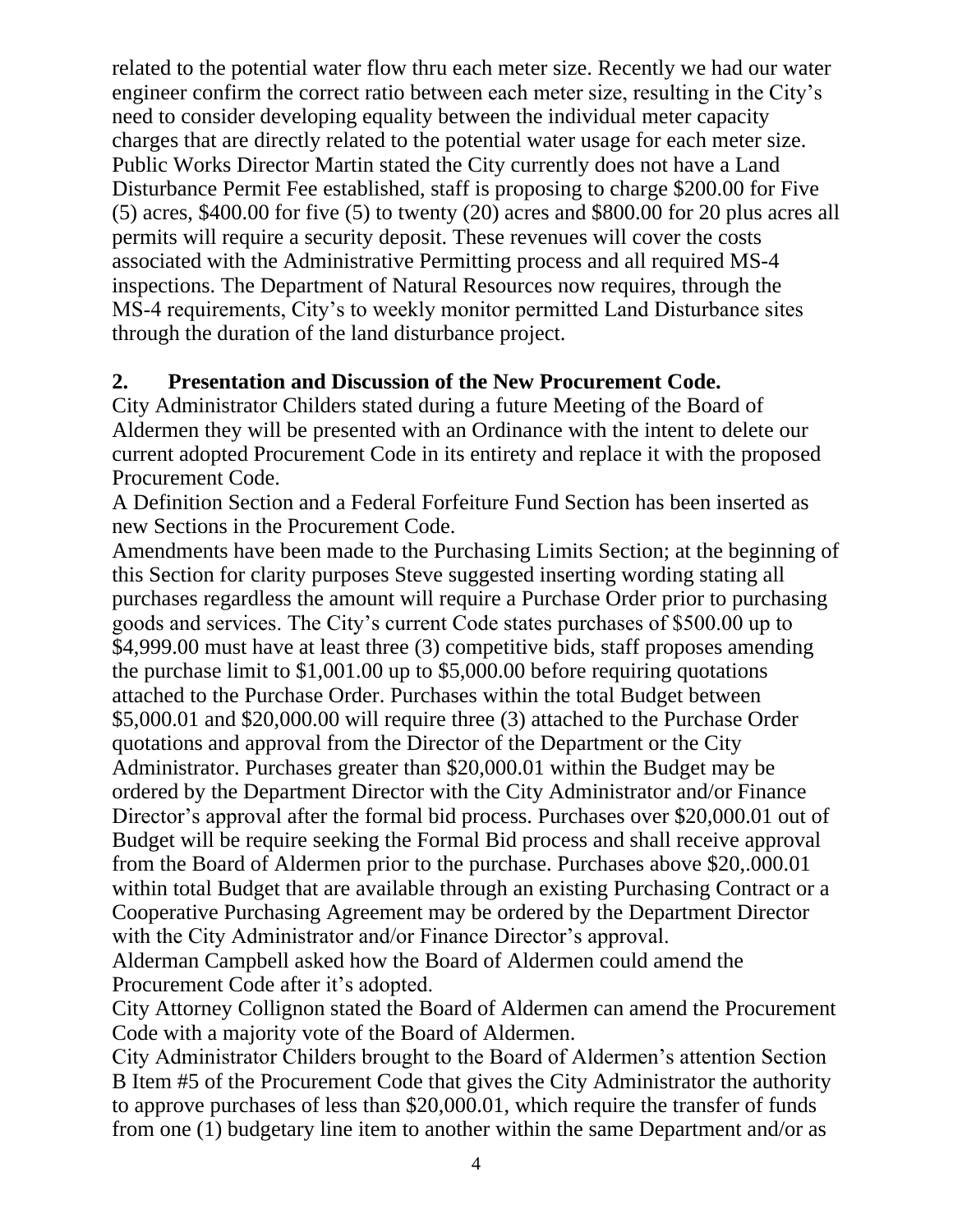related to the potential water flow thru each meter size. Recently we had our water engineer confirm the correct ratio between each meter size, resulting in the City's need to consider developing equality between the individual meter capacity charges that are directly related to the potential water usage for each meter size. Public Works Director Martin stated the City currently does not have a Land Disturbance Permit Fee established, staff is proposing to charge \$200.00 for Five (5) acres, \$400.00 for five (5) to twenty (20) acres and \$800.00 for 20 plus acres all permits will require a security deposit. These revenues will cover the costs associated with the Administrative Permitting process and all required MS-4 inspections. The Department of Natural Resources now requires, through the MS-4 requirements, City's to weekly monitor permitted Land Disturbance sites through the duration of the land disturbance project.

### **2. Presentation and Discussion of the New Procurement Code.**

City Administrator Childers stated during a future Meeting of the Board of Aldermen they will be presented with an Ordinance with the intent to delete our current adopted Procurement Code in its entirety and replace it with the proposed Procurement Code.

A Definition Section and a Federal Forfeiture Fund Section has been inserted as new Sections in the Procurement Code.

Amendments have been made to the Purchasing Limits Section; at the beginning of this Section for clarity purposes Steve suggested inserting wording stating all purchases regardless the amount will require a Purchase Order prior to purchasing goods and services. The City's current Code states purchases of \$500.00 up to \$4,999.00 must have at least three (3) competitive bids, staff proposes amending the purchase limit to \$1,001.00 up to \$5,000.00 before requiring quotations attached to the Purchase Order. Purchases within the total Budget between \$5,000.01 and \$20,000.00 will require three (3) attached to the Purchase Order quotations and approval from the Director of the Department or the City Administrator. Purchases greater than \$20,000.01 within the Budget may be ordered by the Department Director with the City Administrator and/or Finance Director's approval after the formal bid process. Purchases over \$20,000.01 out of Budget will be require seeking the Formal Bid process and shall receive approval from the Board of Aldermen prior to the purchase. Purchases above \$20,.000.01 within total Budget that are available through an existing Purchasing Contract or a Cooperative Purchasing Agreement may be ordered by the Department Director with the City Administrator and/or Finance Director's approval.

Alderman Campbell asked how the Board of Aldermen could amend the Procurement Code after it's adopted.

City Attorney Collignon stated the Board of Aldermen can amend the Procurement Code with a majority vote of the Board of Aldermen.

City Administrator Childers brought to the Board of Aldermen's attention Section B Item #5 of the Procurement Code that gives the City Administrator the authority to approve purchases of less than \$20,000.01, which require the transfer of funds from one (1) budgetary line item to another within the same Department and/or as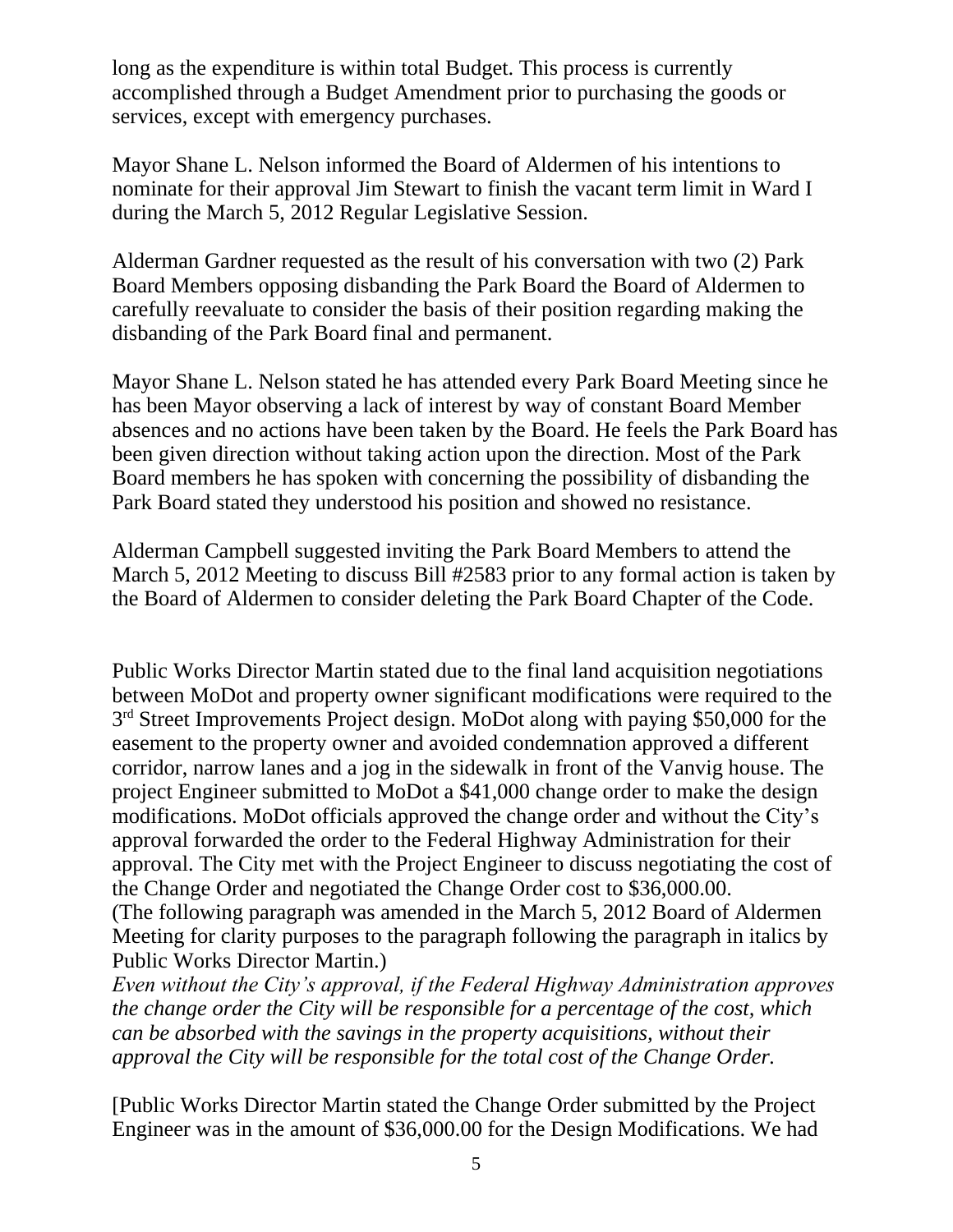long as the expenditure is within total Budget. This process is currently accomplished through a Budget Amendment prior to purchasing the goods or services, except with emergency purchases.

Mayor Shane L. Nelson informed the Board of Aldermen of his intentions to nominate for their approval Jim Stewart to finish the vacant term limit in Ward I during the March 5, 2012 Regular Legislative Session.

Alderman Gardner requested as the result of his conversation with two (2) Park Board Members opposing disbanding the Park Board the Board of Aldermen to carefully reevaluate to consider the basis of their position regarding making the disbanding of the Park Board final and permanent.

Mayor Shane L. Nelson stated he has attended every Park Board Meeting since he has been Mayor observing a lack of interest by way of constant Board Member absences and no actions have been taken by the Board. He feels the Park Board has been given direction without taking action upon the direction. Most of the Park Board members he has spoken with concerning the possibility of disbanding the Park Board stated they understood his position and showed no resistance.

Alderman Campbell suggested inviting the Park Board Members to attend the March 5, 2012 Meeting to discuss Bill #2583 prior to any formal action is taken by the Board of Aldermen to consider deleting the Park Board Chapter of the Code.

Public Works Director Martin stated due to the final land acquisition negotiations between MoDot and property owner significant modifications were required to the 3<sup>rd</sup> Street Improvements Project design. MoDot along with paying \$50,000 for the easement to the property owner and avoided condemnation approved a different corridor, narrow lanes and a jog in the sidewalk in front of the Vanvig house. The project Engineer submitted to MoDot a \$41,000 change order to make the design modifications. MoDot officials approved the change order and without the City's approval forwarded the order to the Federal Highway Administration for their approval. The City met with the Project Engineer to discuss negotiating the cost of the Change Order and negotiated the Change Order cost to \$36,000.00. (The following paragraph was amended in the March 5, 2012 Board of Aldermen Meeting for clarity purposes to the paragraph following the paragraph in italics by Public Works Director Martin.)

*Even without the City's approval, if the Federal Highway Administration approves the change order the City will be responsible for a percentage of the cost, which can be absorbed with the savings in the property acquisitions, without their approval the City will be responsible for the total cost of the Change Order.* 

[Public Works Director Martin stated the Change Order submitted by the Project Engineer was in the amount of \$36,000.00 for the Design Modifications. We had